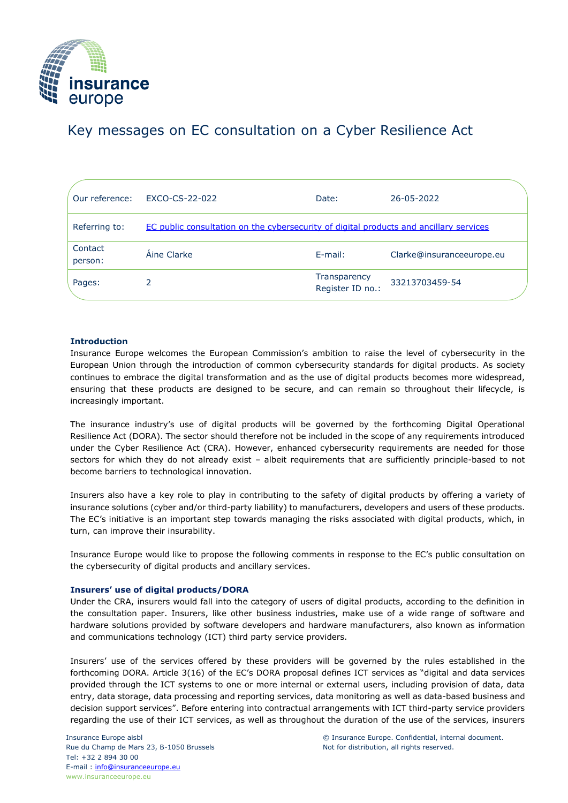

# Key messages on EC consultation on a Cyber Resilience Act

| Our reference:     | EXCO-CS-22-022                                                                         | Date:                            | 26-05-2022                |
|--------------------|----------------------------------------------------------------------------------------|----------------------------------|---------------------------|
| Referring to:      | EC public consultation on the cybersecurity of digital products and ancillary services |                                  |                           |
| Contact<br>person: | Aine Clarke                                                                            | $E$ -mail:                       | Clarke@insuranceeurope.eu |
| Pages:             |                                                                                        | Transparency<br>Register ID no.: | 33213703459-54            |

## **Introduction**

Insurance Europe welcomes the European Commission's ambition to raise the level of cybersecurity in the European Union through the introduction of common cybersecurity standards for digital products. As society continues to embrace the digital transformation and as the use of digital products becomes more widespread, ensuring that these products are designed to be secure, and can remain so throughout their lifecycle, is increasingly important.

The insurance industry's use of digital products will be governed by the forthcoming Digital Operational Resilience Act (DORA). The sector should therefore not be included in the scope of any requirements introduced under the Cyber Resilience Act (CRA). However, enhanced cybersecurity requirements are needed for those sectors for which they do not already exist – albeit requirements that are sufficiently principle-based to not become barriers to technological innovation.

Insurers also have a key role to play in contributing to the safety of digital products by offering a variety of insurance solutions (cyber and/or third-party liability) to manufacturers, developers and users of these products. The EC's initiative is an important step towards managing the risks associated with digital products, which, in turn, can improve their insurability.

Insurance Europe would like to propose the following comments in response to the EC's public consultation on the cybersecurity of digital products and ancillary services.

## **Insurers' use of digital products/DORA**

Under the CRA, insurers would fall into the category of users of digital products, according to the definition in the consultation paper. Insurers, like other business industries, make use of a wide range of software and hardware solutions provided by software developers and hardware manufacturers, also known as information and communications technology (ICT) third party service providers.

Insurers' use of the services offered by these providers will be governed by the rules established in the forthcoming DORA. Article 3(16) of the EC's DORA proposal defines ICT services as "digital and data services provided through the ICT systems to one or more internal or external users, including provision of data, data entry, data storage, data processing and reporting services, data monitoring as well as data-based business and decision support services". Before entering into contractual arrangements with ICT third-party service providers regarding the use of their ICT services, as well as throughout the duration of the use of the services, insurers

Insurance Europe aisbl Rue du Champ de Mars 23, B-1050 Brussels Tel: +32 2 894 30 00 E-mail : [info@insuranceeurope.eu](mailto:info@insuranceeurope.eu) www.insuranceeurope.eu

© Insurance Europe. Confidential, internal document. Not for distribution, all rights reserved.